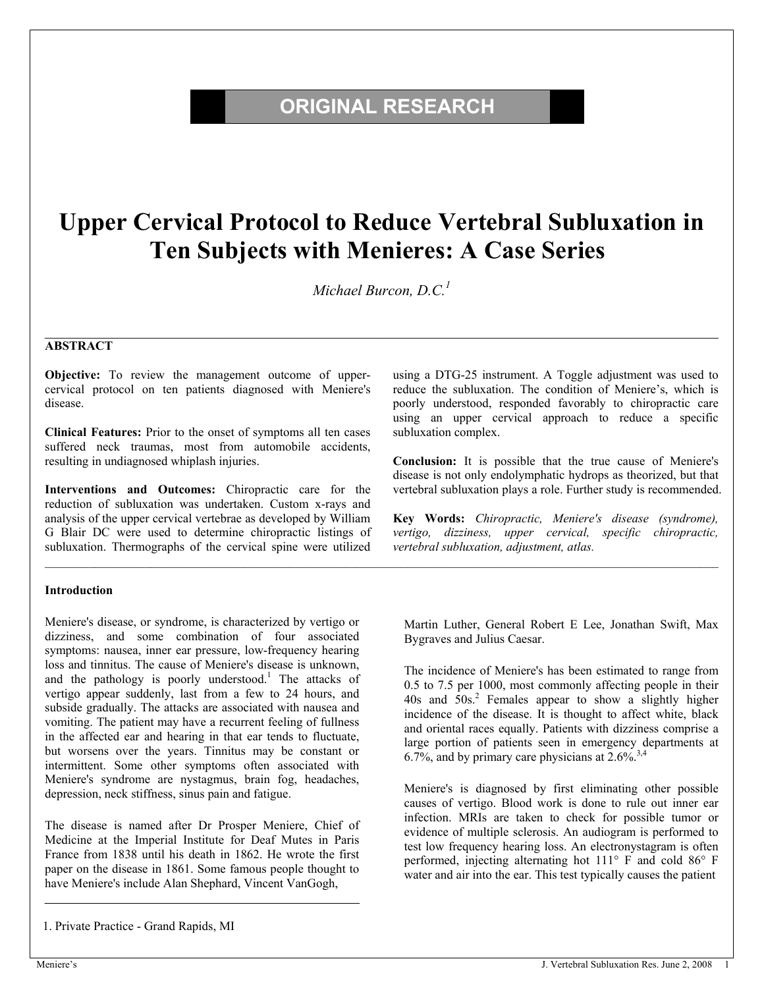# **ORIGINAL RESEARCH**

# **Upper Cervical Protocol to Reduce Vertebral Subluxation in Ten Subjects with Menieres: A Case Series**

*Michael Burcon, D.C.1*

 $\mathcal{L}_\mathcal{L} = \mathcal{L}_\mathcal{L} = \mathcal{L}_\mathcal{L} = \mathcal{L}_\mathcal{L} = \mathcal{L}_\mathcal{L} = \mathcal{L}_\mathcal{L} = \mathcal{L}_\mathcal{L} = \mathcal{L}_\mathcal{L} = \mathcal{L}_\mathcal{L} = \mathcal{L}_\mathcal{L} = \mathcal{L}_\mathcal{L} = \mathcal{L}_\mathcal{L} = \mathcal{L}_\mathcal{L} = \mathcal{L}_\mathcal{L} = \mathcal{L}_\mathcal{L} = \mathcal{L}_\mathcal{L} = \mathcal{L}_\mathcal{L}$ 

 $\mathcal{L}_\text{max} = \frac{1}{2} \sum_{i=1}^n \mathcal{L}_\text{max} = \frac{1}{2} \sum_{i=1}^n \mathcal{L}_\text{max} = \frac{1}{2} \sum_{i=1}^n \mathcal{L}_\text{max} = \frac{1}{2} \sum_{i=1}^n \mathcal{L}_\text{max} = \frac{1}{2} \sum_{i=1}^n \mathcal{L}_\text{max} = \frac{1}{2} \sum_{i=1}^n \mathcal{L}_\text{max} = \frac{1}{2} \sum_{i=1}^n \mathcal{L}_\text{max} = \frac{1}{2} \sum_{i=$ 

#### **ABSTRACT**

**Objective:** To review the management outcome of uppercervical protocol on ten patients diagnosed with Meniere's disease.

**Clinical Features:** Prior to the onset of symptoms all ten cases suffered neck traumas, most from automobile accidents, resulting in undiagnosed whiplash injuries.

**Interventions and Outcomes:** Chiropractic care for the reduction of subluxation was undertaken. Custom x-rays and analysis of the upper cervical vertebrae as developed by William G Blair DC were used to determine chiropractic listings of subluxation. Thermographs of the cervical spine were utilized

#### **Introduction**

Meniere's disease, or syndrome, is characterized by vertigo or dizziness, and some combination of four associated symptoms: nausea, inner ear pressure, low-frequency hearing loss and tinnitus. The cause of Meniere's disease is unknown, and the pathology is poorly understood.<sup>1</sup> The attacks of vertigo appear suddenly, last from a few to 24 hours, and subside gradually. The attacks are associated with nausea and vomiting. The patient may have a recurrent feeling of fullness in the affected ear and hearing in that ear tends to fluctuate, but worsens over the years. Tinnitus may be constant or intermittent. Some other symptoms often associated with Meniere's syndrome are nystagmus, brain fog, headaches, depression, neck stiffness, sinus pain and fatigue.

The disease is named after Dr Prosper Meniere, Chief of Medicine at the Imperial Institute for Deaf Mutes in Paris France from 1838 until his death in 1862. He wrote the first paper on the disease in 1861. Some famous people thought to have Meniere's include Alan Shephard, Vincent VanGogh,

1. Private Practice - Grand Rapids, MI

using a DTG-25 instrument. A Toggle adjustment was used to reduce the subluxation. The condition of Meniere's, which is poorly understood, responded favorably to chiropractic care using an upper cervical approach to reduce a specific subluxation complex.

**Conclusion:** It is possible that the true cause of Meniere's disease is not only endolymphatic hydrops as theorized, but that vertebral subluxation plays a role. Further study is recommended.

**Key Words:** *Chiropractic, Meniere's disease (syndrome), vertigo, dizziness, upper cervical, specific chiropractic, vertebral subluxation, adjustment, atlas.* 

Martin Luther, General Robert E Lee, Jonathan Swift, Max Bygraves and Julius Caesar.

The incidence of Meniere's has been estimated to range from 0.5 to 7.5 per 1000, most commonly affecting people in their 40s and 50s.2 Females appear to show a slightly higher incidence of the disease. It is thought to affect white, black and oriental races equally. Patients with dizziness comprise a large portion of patients seen in emergency departments at 6.7%, and by primary care physicians at  $2.6\%^{3,4}$ 

Meniere's is diagnosed by first eliminating other possible causes of vertigo. Blood work is done to rule out inner ear infection. MRIs are taken to check for possible tumor or evidence of multiple sclerosis. An audiogram is performed to test low frequency hearing loss. An electronystagram is often performed, injecting alternating hot 111° F and cold 86° F water and air into the ear. This test typically causes the patient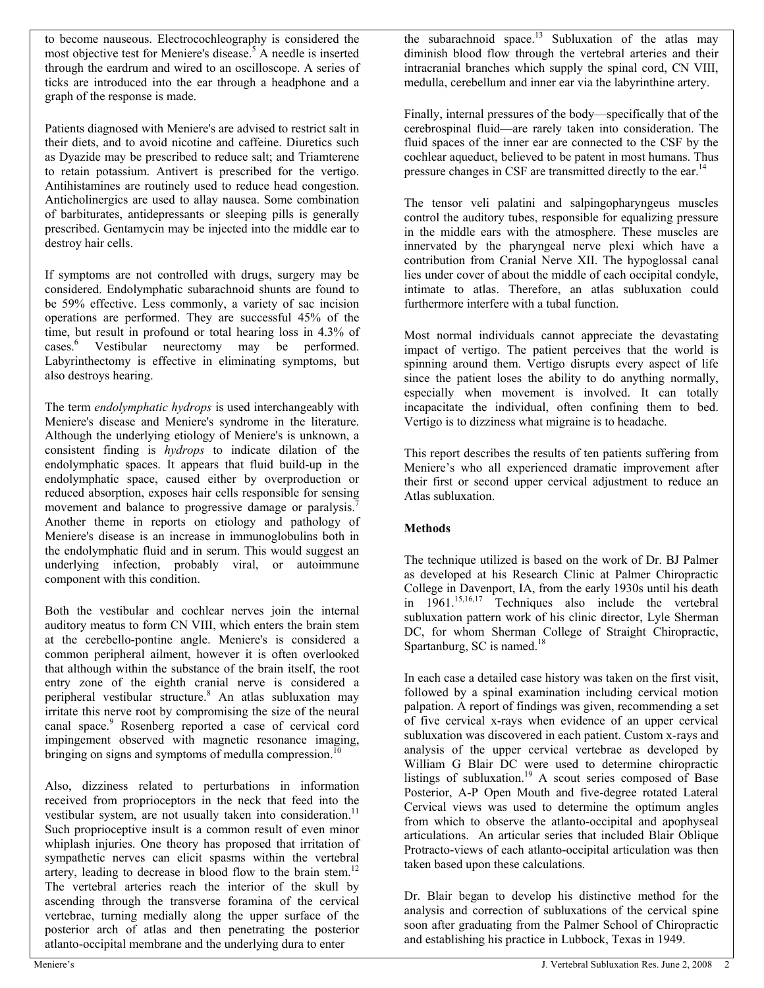to become nauseous. Electrocochleography is considered the most objective test for Meniere's disease.<sup>5</sup> A needle is inserted through the eardrum and wired to an oscilloscope. A series of ticks are introduced into the ear through a headphone and a graph of the response is made.

Patients diagnosed with Meniere's are advised to restrict salt in their diets, and to avoid nicotine and caffeine. Diuretics such as Dyazide may be prescribed to reduce salt; and Triamterene to retain potassium. Antivert is prescribed for the vertigo. Antihistamines are routinely used to reduce head congestion. Anticholinergics are used to allay nausea. Some combination of barbiturates, antidepressants or sleeping pills is generally prescribed. Gentamycin may be injected into the middle ear to destroy hair cells.

If symptoms are not controlled with drugs, surgery may be considered. Endolymphatic subarachnoid shunts are found to be 59% effective. Less commonly, a variety of sac incision operations are performed. They are successful 45% of the time, but result in profound or total hearing loss in 4.3% of cases.<sup>6</sup> Vestibular neurectomy may be performed. Labyrinthectomy is effective in eliminating symptoms, but also destroys hearing.

The term *endolymphatic hydrops* is used interchangeably with Meniere's disease and Meniere's syndrome in the literature. Although the underlying etiology of Meniere's is unknown, a consistent finding is *hydrops* to indicate dilation of the endolymphatic spaces. It appears that fluid build-up in the endolymphatic space, caused either by overproduction or reduced absorption, exposes hair cells responsible for sensing movement and balance to progressive damage or paralysis.<sup>7</sup> Another theme in reports on etiology and pathology of Meniere's disease is an increase in immunoglobulins both in the endolymphatic fluid and in serum. This would suggest an underlying infection, probably viral, or autoimmune component with this condition.

Both the vestibular and cochlear nerves join the internal auditory meatus to form CN VIII, which enters the brain stem at the cerebello-pontine angle. Meniere's is considered a common peripheral ailment, however it is often overlooked that although within the substance of the brain itself, the root entry zone of the eighth cranial nerve is considered a peripheral vestibular structure.<sup>8</sup> An atlas subluxation may irritate this nerve root by compromising the size of the neural canal space.<sup>9</sup> Rosenberg reported a case of cervical cord impingement observed with magnetic resonance imaging, bringing on signs and symptoms of medulla compression.<sup>10</sup>

Also, dizziness related to perturbations in information received from proprioceptors in the neck that feed into the vestibular system, are not usually taken into consideration.<sup>11</sup> Such proprioceptive insult is a common result of even minor whiplash injuries. One theory has proposed that irritation of sympathetic nerves can elicit spasms within the vertebral artery, leading to decrease in blood flow to the brain stem.<sup>12</sup> The vertebral arteries reach the interior of the skull by ascending through the transverse foramina of the cervical vertebrae, turning medially along the upper surface of the posterior arch of atlas and then penetrating the posterior atlanto-occipital membrane and the underlying dura to enter

the subarachnoid space.<sup>13</sup> Subluxation of the atlas may diminish blood flow through the vertebral arteries and their intracranial branches which supply the spinal cord, CN VIII, medulla, cerebellum and inner ear via the labyrinthine artery.

Finally, internal pressures of the body—specifically that of the cerebrospinal fluid—are rarely taken into consideration. The fluid spaces of the inner ear are connected to the CSF by the cochlear aqueduct, believed to be patent in most humans. Thus pressure changes in CSF are transmitted directly to the ear.<sup>14</sup>

The tensor veli palatini and salpingopharyngeus muscles control the auditory tubes, responsible for equalizing pressure in the middle ears with the atmosphere. These muscles are innervated by the pharyngeal nerve plexi which have a contribution from Cranial Nerve XII. The hypoglossal canal lies under cover of about the middle of each occipital condyle, intimate to atlas. Therefore, an atlas subluxation could furthermore interfere with a tubal function.

Most normal individuals cannot appreciate the devastating impact of vertigo. The patient perceives that the world is spinning around them. Vertigo disrupts every aspect of life since the patient loses the ability to do anything normally, especially when movement is involved. It can totally incapacitate the individual, often confining them to bed. Vertigo is to dizziness what migraine is to headache.

This report describes the results of ten patients suffering from Meniere's who all experienced dramatic improvement after their first or second upper cervical adjustment to reduce an Atlas subluxation.

# **Methods**

The technique utilized is based on the work of Dr. BJ Palmer as developed at his Research Clinic at Palmer Chiropractic College in Davenport, IA, from the early 1930s until his death in 1961.15,16,17 Techniques also include the vertebral subluxation pattern work of his clinic director, Lyle Sherman DC, for whom Sherman College of Straight Chiropractic, Spartanburg, SC is named.<sup>18</sup>

In each case a detailed case history was taken on the first visit, followed by a spinal examination including cervical motion palpation. A report of findings was given, recommending a set of five cervical x-rays when evidence of an upper cervical subluxation was discovered in each patient. Custom x-rays and analysis of the upper cervical vertebrae as developed by William G Blair DC were used to determine chiropractic listings of subluxation.<sup>19</sup> A scout series composed of Base Posterior, A-P Open Mouth and five-degree rotated Lateral Cervical views was used to determine the optimum angles from which to observe the atlanto-occipital and apophyseal articulations. An articular series that included Blair Oblique Protracto-views of each atlanto-occipital articulation was then taken based upon these calculations.

Dr. Blair began to develop his distinctive method for the analysis and correction of subluxations of the cervical spine soon after graduating from the Palmer School of Chiropractic and establishing his practice in Lubbock, Texas in 1949.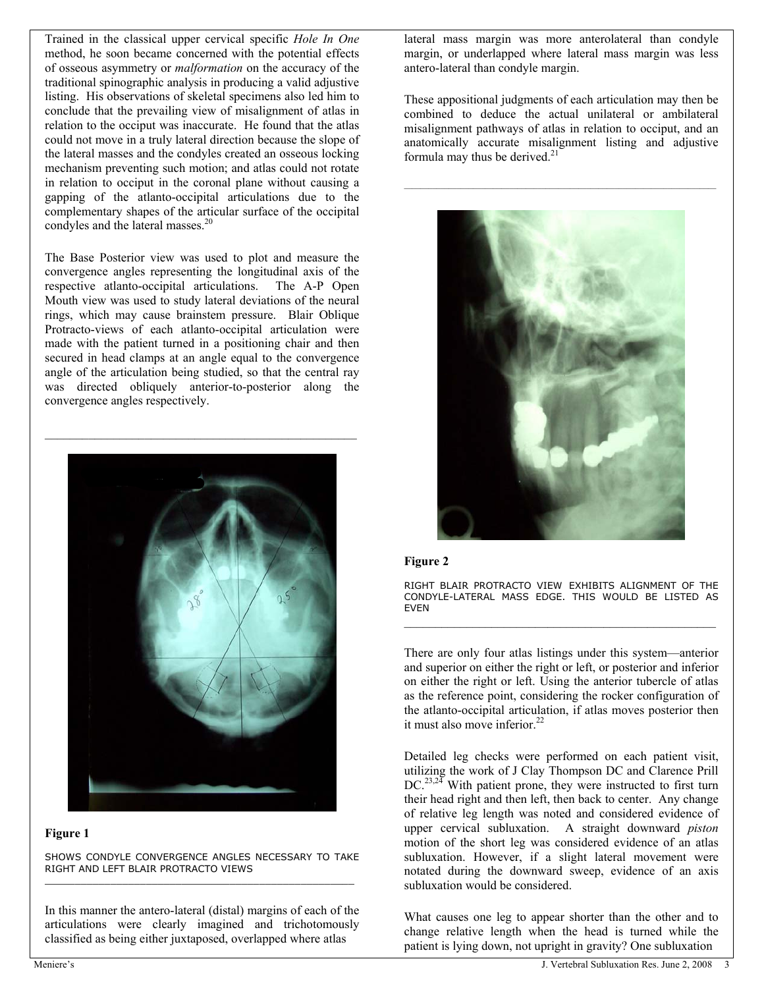Trained in the classical upper cervical specific *Hole In One* method, he soon became concerned with the potential effects of osseous asymmetry or *malformation* on the accuracy of the traditional spinographic analysis in producing a valid adjustive listing. His observations of skeletal specimens also led him to conclude that the prevailing view of misalignment of atlas in relation to the occiput was inaccurate. He found that the atlas could not move in a truly lateral direction because the slope of the lateral masses and the condyles created an osseous locking mechanism preventing such motion; and atlas could not rotate in relation to occiput in the coronal plane without causing a gapping of the atlanto-occipital articulations due to the complementary shapes of the articular surface of the occipital condyles and the lateral masses.<sup>20</sup>

The Base Posterior view was used to plot and measure the convergence angles representing the longitudinal axis of the respective atlanto-occipital articulations. The A-P Open Mouth view was used to study lateral deviations of the neural rings, which may cause brainstem pressure. Blair Oblique Protracto-views of each atlanto-occipital articulation were made with the patient turned in a positioning chair and then secured in head clamps at an angle equal to the convergence angle of the articulation being studied, so that the central ray was directed obliquely anterior-to-posterior along the convergence angles respectively.



#### **Figure 1**

SHOWS CONDYLE CONVERGENCE ANGLES NECESSARY TO TAKE RIGHT AND LEFT BLAIR PROTRACTO VIEWS \_\_\_\_\_\_\_\_\_\_\_\_\_\_\_\_\_\_\_\_\_\_\_\_\_\_\_\_\_\_\_\_\_\_\_\_\_\_\_\_\_\_\_\_\_\_\_\_\_\_\_\_

In this manner the antero-lateral (distal) margins of each of the articulations were clearly imagined and trichotomously classified as being either juxtaposed, overlapped where atlas

lateral mass margin was more anterolateral than condyle margin, or underlapped where lateral mass margin was less antero-lateral than condyle margin.

These appositional judgments of each articulation may then be combined to deduce the actual unilateral or ambilateral misalignment pathways of atlas in relation to occiput, and an anatomically accurate misalignment listing and adjustive formula may thus be derived. $21$ 



#### **Figure 2**

RIGHT BLAIR PROTRACTO VIEW EXHIBITS ALIGNMENT OF THE CONDYLE-LATERAL MASS EDGE. THIS WOULD BE LISTED AS EVEN \_\_\_\_\_\_\_\_\_\_\_\_\_\_\_\_\_\_\_\_\_\_\_\_\_\_\_\_\_\_\_\_\_\_\_\_\_\_\_\_\_\_\_\_\_\_\_\_\_\_

There are only four atlas listings under this system—anterior and superior on either the right or left, or posterior and inferior on either the right or left. Using the anterior tubercle of atlas as the reference point, considering the rocker configuration of the atlanto-occipital articulation, if atlas moves posterior then it must also move inferior.<sup>22</sup>

Detailed leg checks were performed on each patient visit, utilizing the work of J Clay Thompson DC and Clarence Prill  $DC^{23,24}$  With patient prone, they were instructed to first turn their head right and then left, then back to center. Any change of relative leg length was noted and considered evidence of upper cervical subluxation. A straight downward *piston* motion of the short leg was considered evidence of an atlas subluxation. However, if a slight lateral movement were notated during the downward sweep, evidence of an axis subluxation would be considered.

What causes one leg to appear shorter than the other and to change relative length when the head is turned while the patient is lying down, not upright in gravity? One subluxation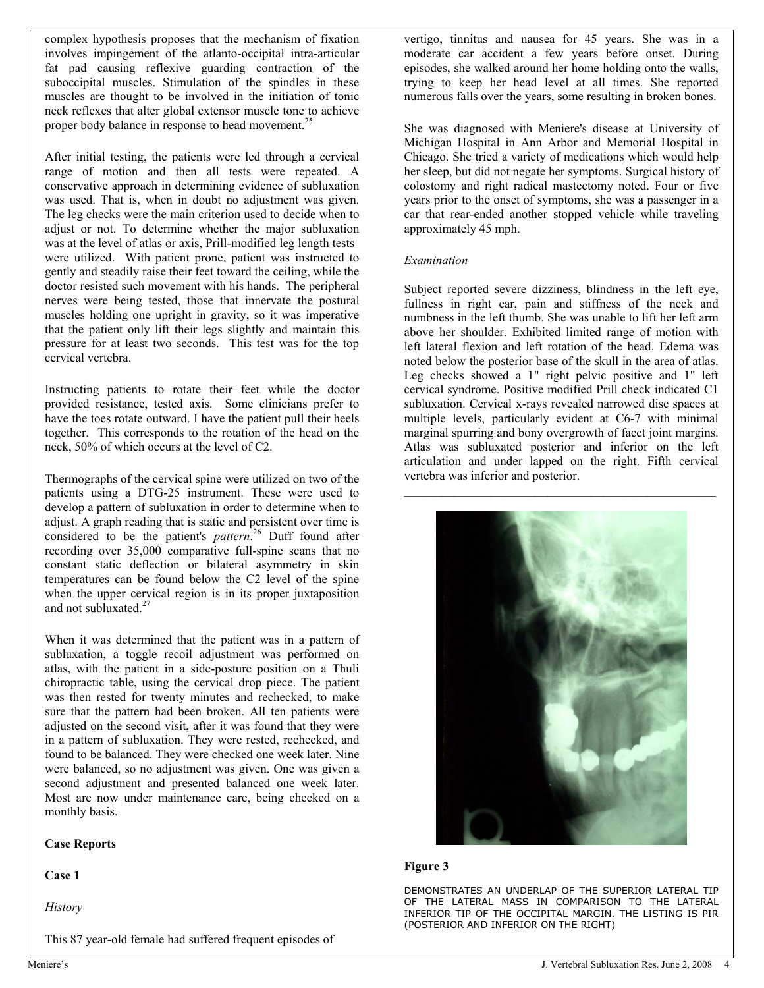complex hypothesis proposes that the mechanism of fixation involves impingement of the atlanto-occipital intra-articular fat pad causing reflexive guarding contraction of the suboccipital muscles. Stimulation of the spindles in these muscles are thought to be involved in the initiation of tonic neck reflexes that alter global extensor muscle tone to achieve proper body balance in response to head movement.<sup>25</sup>

After initial testing, the patients were led through a cervical range of motion and then all tests were repeated. A conservative approach in determining evidence of subluxation was used. That is, when in doubt no adjustment was given. The leg checks were the main criterion used to decide when to adjust or not. To determine whether the major subluxation was at the level of atlas or axis, Prill-modified leg length tests were utilized. With patient prone, patient was instructed to gently and steadily raise their feet toward the ceiling, while the doctor resisted such movement with his hands. The peripheral nerves were being tested, those that innervate the postural muscles holding one upright in gravity, so it was imperative that the patient only lift their legs slightly and maintain this pressure for at least two seconds. This test was for the top cervical vertebra.

Instructing patients to rotate their feet while the doctor provided resistance, tested axis. Some clinicians prefer to have the toes rotate outward. I have the patient pull their heels together. This corresponds to the rotation of the head on the neck, 50% of which occurs at the level of C2.

Thermographs of the cervical spine were utilized on two of the patients using a DTG-25 instrument. These were used to develop a pattern of subluxation in order to determine when to adjust. A graph reading that is static and persistent over time is considered to be the patient's *pattern*. 26 Duff found after recording over 35,000 comparative full-spine scans that no constant static deflection or bilateral asymmetry in skin temperatures can be found below the C2 level of the spine when the upper cervical region is in its proper juxtaposition and not subluxated. $27$ 

When it was determined that the patient was in a pattern of subluxation, a toggle recoil adjustment was performed on atlas, with the patient in a side-posture position on a Thuli chiropractic table, using the cervical drop piece. The patient was then rested for twenty minutes and rechecked, to make sure that the pattern had been broken. All ten patients were adjusted on the second visit, after it was found that they were in a pattern of subluxation. They were rested, rechecked, and found to be balanced. They were checked one week later. Nine were balanced, so no adjustment was given. One was given a second adjustment and presented balanced one week later. Most are now under maintenance care, being checked on a monthly basis.

#### **Case Reports**

**Case 1** 

*History* 

This 87 year-old female had suffered frequent episodes of

vertigo, tinnitus and nausea for 45 years. She was in a moderate car accident a few years before onset. During episodes, she walked around her home holding onto the walls, trying to keep her head level at all times. She reported numerous falls over the years, some resulting in broken bones.

She was diagnosed with Meniere's disease at University of Michigan Hospital in Ann Arbor and Memorial Hospital in Chicago. She tried a variety of medications which would help her sleep, but did not negate her symptoms. Surgical history of colostomy and right radical mastectomy noted. Four or five years prior to the onset of symptoms, she was a passenger in a car that rear-ended another stopped vehicle while traveling approximately 45 mph.

#### *Examination*

Subject reported severe dizziness, blindness in the left eye, fullness in right ear, pain and stiffness of the neck and numbness in the left thumb. She was unable to lift her left arm above her shoulder. Exhibited limited range of motion with left lateral flexion and left rotation of the head. Edema was noted below the posterior base of the skull in the area of atlas. Leg checks showed a 1" right pelvic positive and 1" left cervical syndrome. Positive modified Prill check indicated C1 subluxation. Cervical x-rays revealed narrowed disc spaces at multiple levels, particularly evident at C6-7 with minimal marginal spurring and bony overgrowth of facet joint margins. Atlas was subluxated posterior and inferior on the left articulation and under lapped on the right. Fifth cervical vertebra was inferior and posterior.



#### **Figure 3**

DEMONSTRATES AN UNDERLAP OF THE SUPERIOR LATERAL TIP OF THE LATERAL MASS IN COMPARISON TO THE LATERAL INFERIOR TIP OF THE OCCIPITAL MARGIN. THE LISTING IS PIR (POSTERIOR AND INFERIOR ON THE RIGHT)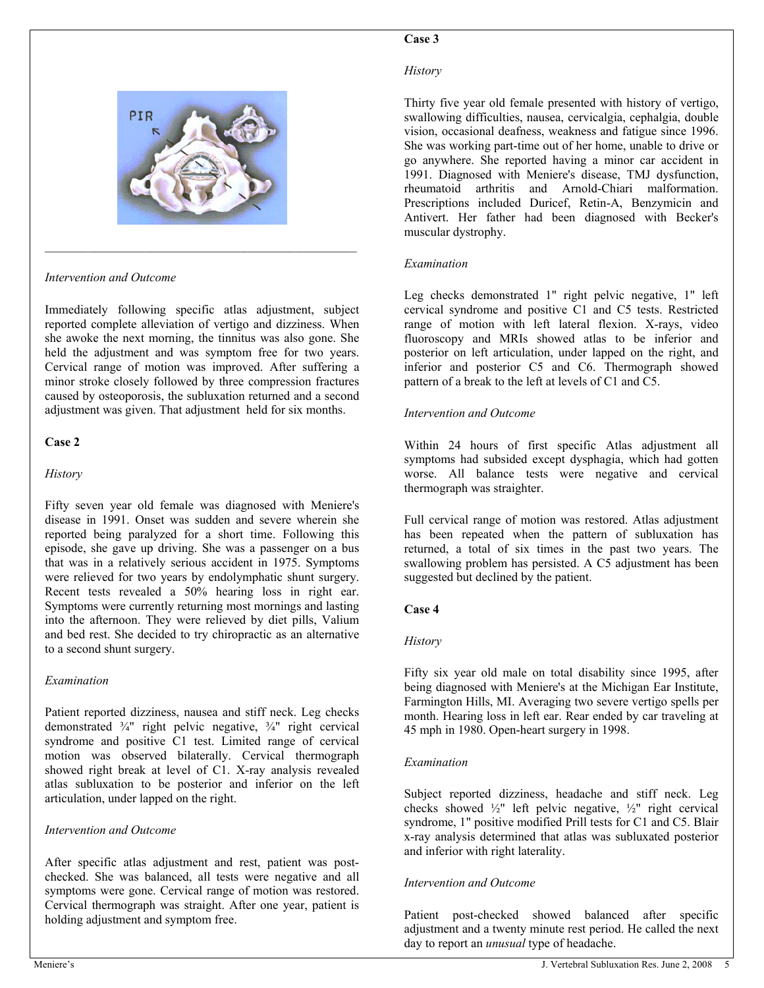

 $\mathcal{L}_\text{max}$  and the contract of the contract of the contract of the contract of the contract of the contract of the contract of the contract of the contract of the contract of the contract of the contract of the contrac

*Intervention and Outcome* 

Immediately following specific atlas adjustment, subject reported complete alleviation of vertigo and dizziness. When she awoke the next morning, the tinnitus was also gone. She held the adjustment and was symptom free for two years. Cervical range of motion was improved. After suffering a minor stroke closely followed by three compression fractures caused by osteoporosis, the subluxation returned and a second adjustment was given. That adjustment held for six months.

### **Case 2**

#### *History*

Fifty seven year old female was diagnosed with Meniere's disease in 1991. Onset was sudden and severe wherein she reported being paralyzed for a short time. Following this episode, she gave up driving. She was a passenger on a bus that was in a relatively serious accident in 1975. Symptoms were relieved for two years by endolymphatic shunt surgery. Recent tests revealed a 50% hearing loss in right ear. Symptoms were currently returning most mornings and lasting into the afternoon. They were relieved by diet pills, Valium and bed rest. She decided to try chiropractic as an alternative to a second shunt surgery.

#### *Examination*

Patient reported dizziness, nausea and stiff neck. Leg checks demonstrated ¾" right pelvic negative, ¾" right cervical syndrome and positive C1 test. Limited range of cervical motion was observed bilaterally. Cervical thermograph showed right break at level of C1. X-ray analysis revealed atlas subluxation to be posterior and inferior on the left articulation, under lapped on the right.

#### *Intervention and Outcome*

After specific atlas adjustment and rest, patient was postchecked. She was balanced, all tests were negative and all symptoms were gone. Cervical range of motion was restored. Cervical thermograph was straight. After one year, patient is holding adjustment and symptom free.

#### *History*

Thirty five year old female presented with history of vertigo, swallowing difficulties, nausea, cervicalgia, cephalgia, double vision, occasional deafness, weakness and fatigue since 1996. She was working part-time out of her home, unable to drive or go anywhere. She reported having a minor car accident in 1991. Diagnosed with Meniere's disease, TMJ dysfunction, rheumatoid arthritis and Arnold-Chiari malformation. Prescriptions included Duricef, Retin-A, Benzymicin and Antivert. Her father had been diagnosed with Becker's muscular dystrophy.

#### *Examination*

Leg checks demonstrated 1" right pelvic negative, 1" left cervical syndrome and positive C1 and C5 tests. Restricted range of motion with left lateral flexion. X-rays, video fluoroscopy and MRIs showed atlas to be inferior and posterior on left articulation, under lapped on the right, and inferior and posterior C5 and C6. Thermograph showed pattern of a break to the left at levels of C1 and C5.

#### *Intervention and Outcome*

Within 24 hours of first specific Atlas adjustment all symptoms had subsided except dysphagia, which had gotten worse. All balance tests were negative and cervical thermograph was straighter.

Full cervical range of motion was restored. Atlas adjustment has been repeated when the pattern of subluxation has returned, a total of six times in the past two years. The swallowing problem has persisted. A C5 adjustment has been suggested but declined by the patient.

#### **Case 4**

#### *History*

Fifty six year old male on total disability since 1995, after being diagnosed with Meniere's at the Michigan Ear Institute, Farmington Hills, MI. Averaging two severe vertigo spells per month. Hearing loss in left ear. Rear ended by car traveling at 45 mph in 1980. Open-heart surgery in 1998.

#### *Examination*

Subject reported dizziness, headache and stiff neck. Leg checks showed ½" left pelvic negative, ½" right cervical syndrome, 1" positive modified Prill tests for C1 and C5. Blair x-ray analysis determined that atlas was subluxated posterior and inferior with right laterality.

#### *Intervention and Outcome*

Patient post-checked showed balanced after specific adjustment and a twenty minute rest period. He called the next day to report an *unusual* type of headache.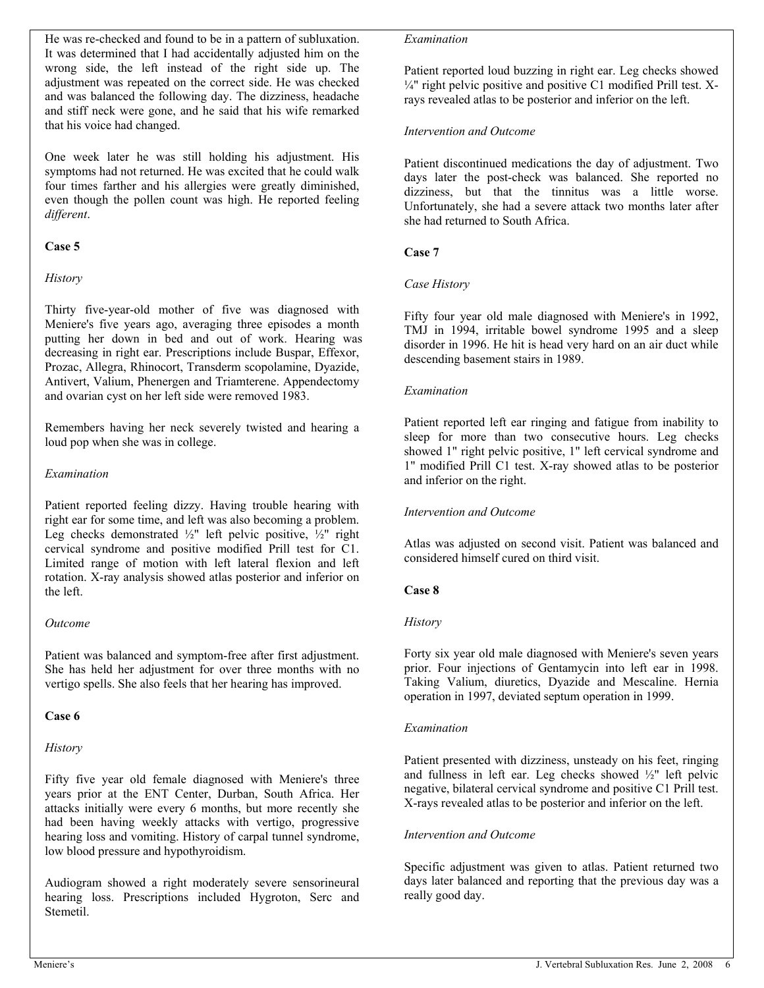He was re-checked and found to be in a pattern of subluxation. It was determined that I had accidentally adjusted him on the wrong side, the left instead of the right side up. The adjustment was repeated on the correct side. He was checked and was balanced the following day. The dizziness, headache and stiff neck were gone, and he said that his wife remarked that his voice had changed.

One week later he was still holding his adjustment. His symptoms had not returned. He was excited that he could walk four times farther and his allergies were greatly diminished, even though the pollen count was high. He reported feeling *different*.

### **Case 5**

### *History*

Thirty five-year-old mother of five was diagnosed with Meniere's five years ago, averaging three episodes a month putting her down in bed and out of work. Hearing was decreasing in right ear. Prescriptions include Buspar, Effexor, Prozac, Allegra, Rhinocort, Transderm scopolamine, Dyazide, Antivert, Valium, Phenergen and Triamterene. Appendectomy and ovarian cyst on her left side were removed 1983.

Remembers having her neck severely twisted and hearing a loud pop when she was in college.

### *Examination*

Patient reported feeling dizzy. Having trouble hearing with right ear for some time, and left was also becoming a problem. Leg checks demonstrated ½" left pelvic positive, ½" right cervical syndrome and positive modified Prill test for C1. Limited range of motion with left lateral flexion and left rotation. X-ray analysis showed atlas posterior and inferior on the left.

#### *Outcome*

Patient was balanced and symptom-free after first adjustment. She has held her adjustment for over three months with no vertigo spells. She also feels that her hearing has improved.

#### **Case 6**

#### *History*

Fifty five year old female diagnosed with Meniere's three years prior at the ENT Center, Durban, South Africa. Her attacks initially were every 6 months, but more recently she had been having weekly attacks with vertigo, progressive hearing loss and vomiting. History of carpal tunnel syndrome, low blood pressure and hypothyroidism.

Audiogram showed a right moderately severe sensorineural hearing loss. Prescriptions included Hygroton, Serc and Stemetil.

#### *Examination*

Patient reported loud buzzing in right ear. Leg checks showed  $\frac{1}{4}$ " right pelvic positive and positive C1 modified Prill test. Xrays revealed atlas to be posterior and inferior on the left.

#### *Intervention and Outcome*

Patient discontinued medications the day of adjustment. Two days later the post-check was balanced. She reported no dizziness, but that the tinnitus was a little worse. Unfortunately, she had a severe attack two months later after she had returned to South Africa.

#### **Case 7**

#### *Case History*

Fifty four year old male diagnosed with Meniere's in 1992, TMJ in 1994, irritable bowel syndrome 1995 and a sleep disorder in 1996. He hit is head very hard on an air duct while descending basement stairs in 1989.

#### *Examination*

Patient reported left ear ringing and fatigue from inability to sleep for more than two consecutive hours. Leg checks showed 1" right pelvic positive, 1" left cervical syndrome and 1" modified Prill C1 test. X-ray showed atlas to be posterior and inferior on the right.

#### *Intervention and Outcome*

Atlas was adjusted on second visit. Patient was balanced and considered himself cured on third visit.

#### **Case 8**

#### *History*

Forty six year old male diagnosed with Meniere's seven years prior. Four injections of Gentamycin into left ear in 1998. Taking Valium, diuretics, Dyazide and Mescaline. Hernia operation in 1997, deviated septum operation in 1999.

#### *Examination*

Patient presented with dizziness, unsteady on his feet, ringing and fullness in left ear. Leg checks showed ½" left pelvic negative, bilateral cervical syndrome and positive C1 Prill test. X-rays revealed atlas to be posterior and inferior on the left.

#### *Intervention and Outcome*

Specific adjustment was given to atlas. Patient returned two days later balanced and reporting that the previous day was a really good day.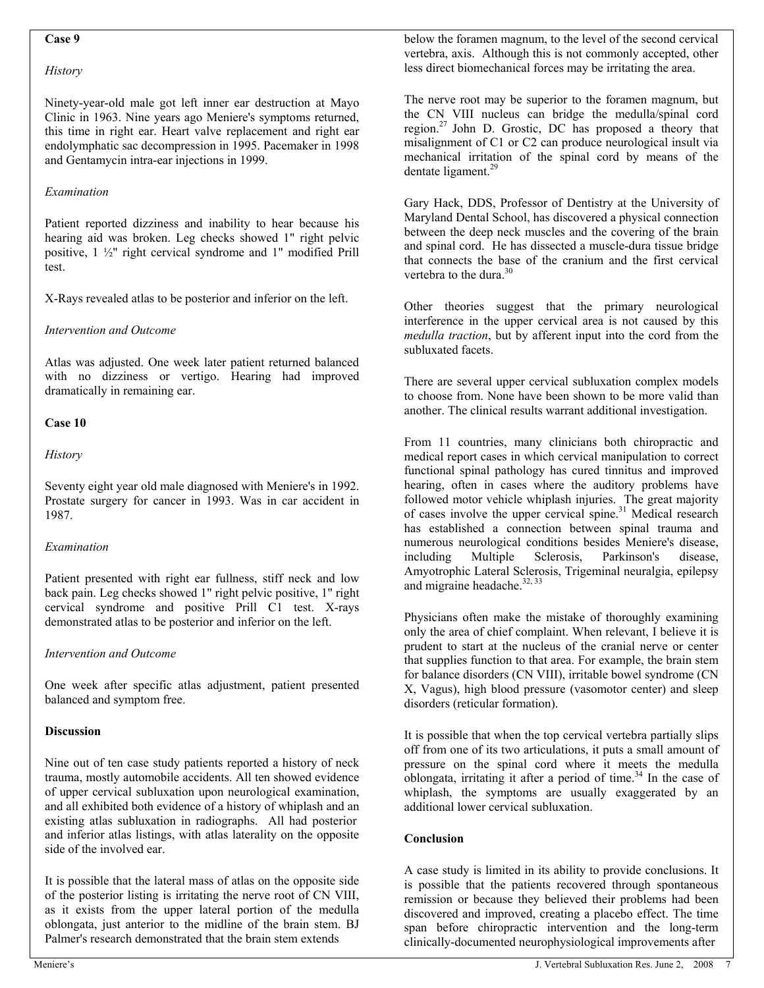#### **Case 9**

#### *History*

Ninety-year-old male got left inner ear destruction at Mayo Clinic in 1963. Nine years ago Meniere's symptoms returned, this time in right ear. Heart valve replacement and right ear endolymphatic sac decompression in 1995. Pacemaker in 1998 and Gentamycin intra-ear injections in 1999.

#### *Examination*

Patient reported dizziness and inability to hear because his hearing aid was broken. Leg checks showed 1" right pelvic positive, 1 ½" right cervical syndrome and 1" modified Prill test.

X-Rays revealed atlas to be posterior and inferior on the left.

### *Intervention and Outcome*

Atlas was adjusted. One week later patient returned balanced with no dizziness or vertigo. Hearing had improved dramatically in remaining ear.

### **Case 10**

### *History*

Seventy eight year old male diagnosed with Meniere's in 1992. Prostate surgery for cancer in 1993. Was in car accident in 1987.

#### *Examination*

Patient presented with right ear fullness, stiff neck and low back pain. Leg checks showed 1" right pelvic positive, 1" right cervical syndrome and positive Prill C1 test. X-rays demonstrated atlas to be posterior and inferior on the left.

#### *Intervention and Outcome*

One week after specific atlas adjustment, patient presented balanced and symptom free.

#### **Discussion**

Nine out of ten case study patients reported a history of neck trauma, mostly automobile accidents. All ten showed evidence of upper cervical subluxation upon neurological examination, and all exhibited both evidence of a history of whiplash and an existing atlas subluxation in radiographs. All had posterior and inferior atlas listings, with atlas laterality on the opposite side of the involved ear.

It is possible that the lateral mass of atlas on the opposite side of the posterior listing is irritating the nerve root of CN VIII, as it exists from the upper lateral portion of the medulla oblongata, just anterior to the midline of the brain stem. BJ Palmer's research demonstrated that the brain stem extends

below the foramen magnum, to the level of the second cervical vertebra, axis. Although this is not commonly accepted, other less direct biomechanical forces may be irritating the area.

The nerve root may be superior to the foramen magnum, but the CN VIII nucleus can bridge the medulla/spinal cord region.<sup>27</sup> John D. Grostic, DC has proposed a theory that misalignment of C1 or C2 can produce neurological insult via mechanical irritation of the spinal cord by means of the dentate ligament.<sup>29</sup>

Gary Hack, DDS, Professor of Dentistry at the University of Maryland Dental School, has discovered a physical connection between the deep neck muscles and the covering of the brain and spinal cord. He has dissected a muscle-dura tissue bridge that connects the base of the cranium and the first cervical vertebra to the dura. $30$ 

Other theories suggest that the primary neurological interference in the upper cervical area is not caused by this *medulla traction*, but by afferent input into the cord from the subluxated facets.

There are several upper cervical subluxation complex models to choose from. None have been shown to be more valid than another. The clinical results warrant additional investigation.

From 11 countries, many clinicians both chiropractic and medical report cases in which cervical manipulation to correct functional spinal pathology has cured tinnitus and improved hearing, often in cases where the auditory problems have followed motor vehicle whiplash injuries. The great majority of cases involve the upper cervical spine.<sup>31</sup> Medical research has established a connection between spinal trauma and numerous neurological conditions besides Meniere's disease, including Multiple Sclerosis, Parkinson's disease, Amyotrophic Lateral Sclerosis, Trigeminal neuralgia, epilepsy and migraine headache.<sup>32, 33</sup>

Physicians often make the mistake of thoroughly examining only the area of chief complaint. When relevant, I believe it is prudent to start at the nucleus of the cranial nerve or center that supplies function to that area. For example, the brain stem for balance disorders (CN VIII), irritable bowel syndrome (CN X, Vagus), high blood pressure (vasomotor center) and sleep disorders (reticular formation).

It is possible that when the top cervical vertebra partially slips off from one of its two articulations, it puts a small amount of pressure on the spinal cord where it meets the medulla oblongata, irritating it after a period of time.<sup>34</sup> In the case of whiplash, the symptoms are usually exaggerated by an additional lower cervical subluxation.

# **Conclusion**

A case study is limited in its ability to provide conclusions. It is possible that the patients recovered through spontaneous remission or because they believed their problems had been discovered and improved, creating a placebo effect. The time span before chiropractic intervention and the long-term clinically-documented neurophysiological improvements after